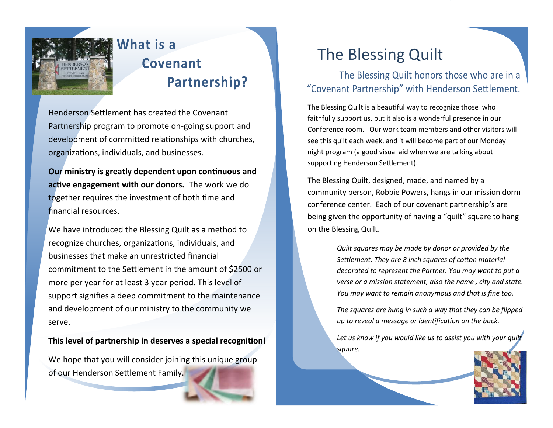

## What is a Covenant Partnership?

Henderson Settlement has created the Covenant Partnership program to promote on-going support and development of committed relationships with churches, organizations, individuals, and businesses.

**Our ministry is greatly dependent upon continuous and active engagement with our donors.** The work we do together requires the investment of both time and financial resources.

We have introduced the Blessing Quilt as a method to recognize churches, organizations, individuals, and businesses that make an unrestricted financial commitment to the Settlement in the amount of \$2500 or more per year for at least 3 year period. This level of support signifies a deep commitment to the maintenance and development of our ministry to the community we serve.

**This level of partnership in deserves a special recognition!** 

We hope that you will consider joining this unique group of our Henderson Settlement Family.

## The Blessing Quilt

The Blessing Quilt honors those who are in a "Covenant Partnership" with Henderson Settlement.

The Blessing Quilt is a beautiful way to recognize those who faithfully support us, but it also is a wonderful presence in our Conference room. Our work team members and other visitors will see this quilt each week, and it will become part of our Monday night program (a good visual aid when we are talking about supporting Henderson Settlement).

The Blessing Quilt, designed, made, and named by a community person, Robbie Powers, hangs in our mission dorm conference center. Each of our covenant partnership's are being given the opportunity of having a "quilt" square to hang on the Blessing Quilt.

> *Quilt squares may be made by donor or provided by the Settlement. They are 8 inch squares of cotton material decorated to represent the Partner. You may want to put a verse or a mission statement, also the name , city and state. You may want to remain anonymous and that is fine too.*

> *The squares are hung in such a way that they can be flipped up to reveal a message or identification on the back.*

> *Let us know if you would like us to assist you with your quilt square.*